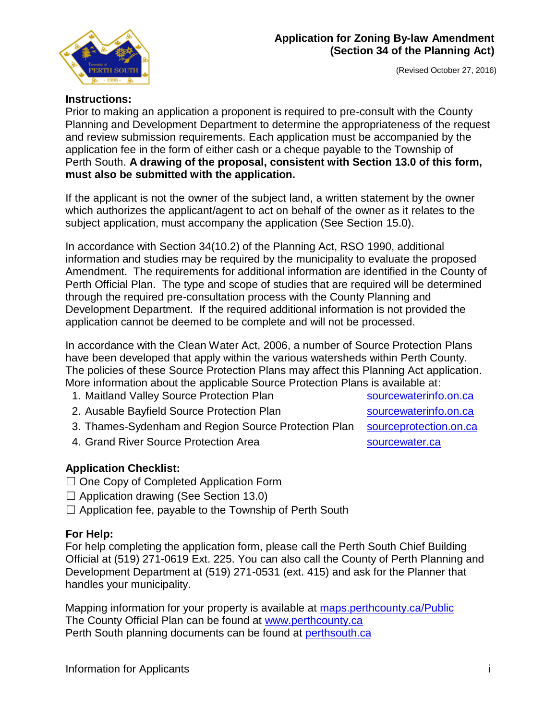

#### (Revised October 27, 2016)

#### **Instructions:**

Prior to making an application a proponent is required to pre-consult with the County Planning and Development Department to determine the appropriateness of the request and review submission requirements. Each application must be accompanied by the application fee in the form of either cash or a cheque payable to the Township of Perth South. **A drawing of the proposal, consistent with Section 13.0 of this form, must also be submitted with the application.**

If the applicant is not the owner of the subject land, a written statement by the owner which authorizes the applicant/agent to act on behalf of the owner as it relates to the subject application, must accompany the application (See Section 15.0).

In accordance with Section 34(10.2) of the Planning Act, RSO 1990, additional information and studies may be required by the municipality to evaluate the proposed Amendment. The requirements for additional information are identified in the County of Perth Official Plan. The type and scope of studies that are required will be determined through the required pre-consultation process with the County Planning and Development Department. If the required additional information is not provided the application cannot be deemed to be complete and will not be processed.

In accordance with the Clean Water Act, 2006, a number of Source Protection Plans have been developed that apply within the various watersheds within Perth County. The policies of these Source Protection Plans may affect this Planning Act application. More information about the applicable Source Protection Plans is available at:

- 1. Maitland Valley Source Protection Plan [sourcewaterinfo.on.ca](http://sourcewaterinfo.on.ca/)
- 2. Ausable Bayfield Source Protection Plan [sourcewaterinfo.on.ca](http://sourcewaterinfo.on.ca/)
- 3. Thames-Sydenham and Region Source Protection Plan [sourceprotection.on.ca](http://www.sourceprotection.on.ca/)
- 4. Grand River Source Protection Area strategy and [sourcewater.ca](http://www.sourcewater.ca/)

## **Application Checklist:**

- ☐ One Copy of Completed Application Form
- $\Box$  Application drawing (See Section 13.0)
- $\Box$  Application fee, payable to the Township of Perth South

## **For Help:**

For help completing the application form, please call the Perth South Chief Building Official at (519) 271-0619 Ext. 225. You can also call the County of Perth Planning and Development Department at (519) 271-0531 (ext. 415) and ask for the Planner that handles your municipality.

Mapping information for your property is available at maps.perthcounty.ca/Public The County Official Plan can be found at [www.perthcounty.ca](http://www.perthcounty.ca/County_of_Perth_Official_Plan) Perth South planning documents can be found at [perthsouth.ca](http://www.perthsouth.ca/content/planning)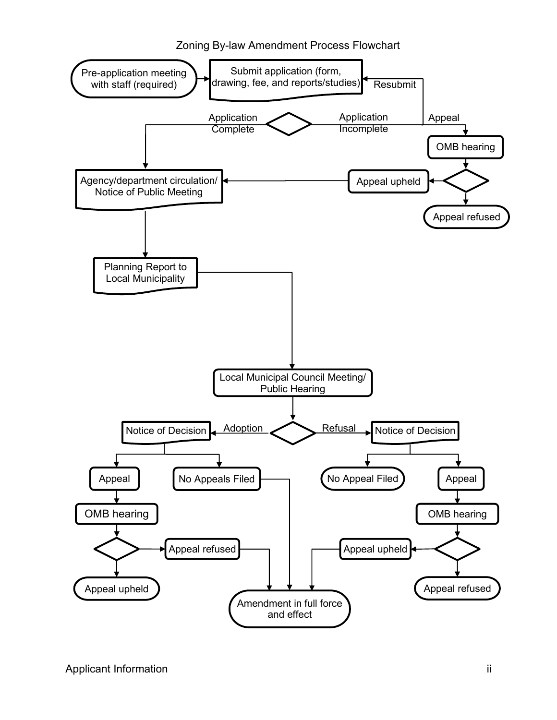Zoning By-law Amendment Process Flowchart

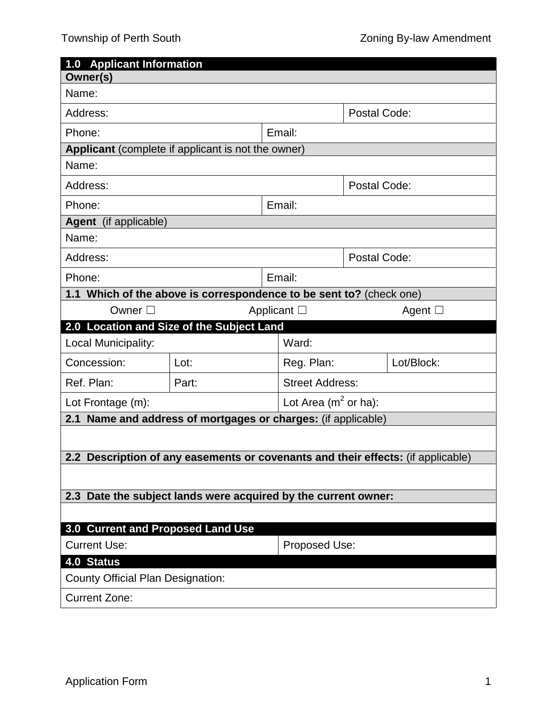| 1.0 Applicant Information                                                        |        |  |                          |                     |                 |  |  |
|----------------------------------------------------------------------------------|--------|--|--------------------------|---------------------|-----------------|--|--|
| Owner(s)                                                                         |        |  |                          |                     |                 |  |  |
| Name:                                                                            |        |  |                          |                     |                 |  |  |
| Address:                                                                         |        |  |                          | <b>Postal Code:</b> |                 |  |  |
| Email:<br>Phone:                                                                 |        |  |                          |                     |                 |  |  |
| Applicant (complete if applicant is not the owner)                               |        |  |                          |                     |                 |  |  |
| Name:                                                                            |        |  |                          |                     |                 |  |  |
| Address:                                                                         |        |  |                          | Postal Code:        |                 |  |  |
| Email:<br>Phone:                                                                 |        |  |                          |                     |                 |  |  |
| Agent (if applicable)                                                            |        |  |                          |                     |                 |  |  |
| Name:                                                                            |        |  |                          |                     |                 |  |  |
| Address:                                                                         |        |  |                          | Postal Code:        |                 |  |  |
| Phone:                                                                           | Email: |  |                          |                     |                 |  |  |
| 1.1 Which of the above is correspondence to be sent to? (check one)              |        |  |                          |                     |                 |  |  |
| Owner $\square$                                                                  |        |  | Applicant $\Box$         |                     | Agent $\square$ |  |  |
| 2.0 Location and Size of the Subject Land                                        |        |  |                          |                     |                 |  |  |
| Local Municipality:                                                              |        |  | Ward:                    |                     |                 |  |  |
| Concession:                                                                      | Lot:   |  | Reg. Plan:               |                     | Lot/Block:      |  |  |
| Ref. Plan:                                                                       | Part:  |  | <b>Street Address:</b>   |                     |                 |  |  |
| Lot Frontage (m):                                                                |        |  | Lot Area ( $m^2$ or ha): |                     |                 |  |  |
| Name and address of mortgages or charges: (if applicable)<br>2.1                 |        |  |                          |                     |                 |  |  |
|                                                                                  |        |  |                          |                     |                 |  |  |
| 2.2 Description of any easements or covenants and their effects: (if applicable) |        |  |                          |                     |                 |  |  |
|                                                                                  |        |  |                          |                     |                 |  |  |
| 2.3 Date the subject lands were acquired by the current owner:                   |        |  |                          |                     |                 |  |  |
|                                                                                  |        |  |                          |                     |                 |  |  |
| 3.0 Current and Proposed Land Use                                                |        |  |                          |                     |                 |  |  |
| <b>Current Use:</b><br>Proposed Use:                                             |        |  |                          |                     |                 |  |  |
| 4.0 Status                                                                       |        |  |                          |                     |                 |  |  |
| <b>County Official Plan Designation:</b>                                         |        |  |                          |                     |                 |  |  |
| <b>Current Zone:</b>                                                             |        |  |                          |                     |                 |  |  |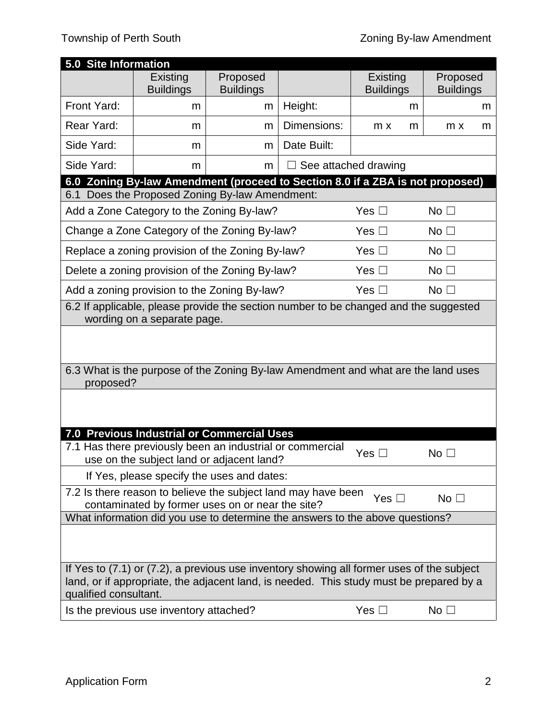| 5.0 Site Information                                                                                                                                                                                          |                                                                                                        |                                                               |             |                      |                  |  |
|---------------------------------------------------------------------------------------------------------------------------------------------------------------------------------------------------------------|--------------------------------------------------------------------------------------------------------|---------------------------------------------------------------|-------------|----------------------|------------------|--|
|                                                                                                                                                                                                               | Existing                                                                                               | Proposed                                                      |             | Existing             | Proposed         |  |
|                                                                                                                                                                                                               | <b>Buildings</b>                                                                                       | <b>Buildings</b>                                              |             | <b>Buildings</b>     | <b>Buildings</b> |  |
| Front Yard:                                                                                                                                                                                                   | m                                                                                                      | m                                                             | Height:     | m                    | m                |  |
| Rear Yard:                                                                                                                                                                                                    | m                                                                                                      | m                                                             | Dimensions: | $m \times$<br>m      | $m \times$<br>m  |  |
| Side Yard:                                                                                                                                                                                                    | m                                                                                                      | m                                                             | Date Built: |                      |                  |  |
| Side Yard:                                                                                                                                                                                                    | m                                                                                                      | m                                                             |             | See attached drawing |                  |  |
|                                                                                                                                                                                                               | 6.0 Zoning By-law Amendment (proceed to Section 8.0 if a ZBA is not proposed)                          |                                                               |             |                      |                  |  |
| 6.1                                                                                                                                                                                                           | Does the Proposed Zoning By-law Amendment:                                                             |                                                               |             |                      |                  |  |
| Add a Zone Category to the Zoning By-law?<br>Yes $\square$                                                                                                                                                    |                                                                                                        |                                                               |             |                      | No <sub>1</sub>  |  |
|                                                                                                                                                                                                               |                                                                                                        | Change a Zone Category of the Zoning By-law?<br>Yes $\square$ |             |                      | No <sub>1</sub>  |  |
|                                                                                                                                                                                                               | Replace a zoning provision of the Zoning By-law?                                                       |                                                               |             | Yes $\square$        | No <sub>1</sub>  |  |
|                                                                                                                                                                                                               | Delete a zoning provision of the Zoning By-law?                                                        |                                                               |             | Yes $\square$        | No <sub>1</sub>  |  |
| Add a zoning provision to the Zoning By-law?<br>Yes $\square$<br>No <sub>1</sub>                                                                                                                              |                                                                                                        |                                                               |             |                      |                  |  |
| 6.2 If applicable, please provide the section number to be changed and the suggested                                                                                                                          |                                                                                                        |                                                               |             |                      |                  |  |
|                                                                                                                                                                                                               | wording on a separate page.                                                                            |                                                               |             |                      |                  |  |
|                                                                                                                                                                                                               |                                                                                                        |                                                               |             |                      |                  |  |
|                                                                                                                                                                                                               |                                                                                                        |                                                               |             |                      |                  |  |
| 6.3 What is the purpose of the Zoning By-law Amendment and what are the land uses<br>proposed?                                                                                                                |                                                                                                        |                                                               |             |                      |                  |  |
|                                                                                                                                                                                                               |                                                                                                        |                                                               |             |                      |                  |  |
|                                                                                                                                                                                                               |                                                                                                        |                                                               |             |                      |                  |  |
|                                                                                                                                                                                                               | <b>7.0 Previous Industrial or Commercial Uses</b>                                                      |                                                               |             |                      |                  |  |
|                                                                                                                                                                                                               | 7.1 Has there previously been an industrial or commercial<br>use on the subject land or adjacent land? |                                                               |             | Yes $\square$        | No <sub>1</sub>  |  |
|                                                                                                                                                                                                               | If Yes, please specify the uses and dates:                                                             |                                                               |             |                      |                  |  |
| 7.2 Is there reason to believe the subject land may have been<br>Yes $\square$<br>No <sub>1</sub>                                                                                                             |                                                                                                        |                                                               |             |                      |                  |  |
| contaminated by former uses on or near the site?                                                                                                                                                              |                                                                                                        |                                                               |             |                      |                  |  |
| What information did you use to determine the answers to the above questions?                                                                                                                                 |                                                                                                        |                                                               |             |                      |                  |  |
|                                                                                                                                                                                                               |                                                                                                        |                                                               |             |                      |                  |  |
|                                                                                                                                                                                                               |                                                                                                        |                                                               |             |                      |                  |  |
| If Yes to (7.1) or (7.2), a previous use inventory showing all former uses of the subject<br>land, or if appropriate, the adjacent land, is needed. This study must be prepared by a<br>qualified consultant. |                                                                                                        |                                                               |             |                      |                  |  |
|                                                                                                                                                                                                               | Is the previous use inventory attached?                                                                |                                                               |             | Yes $\square$        | No $\square$     |  |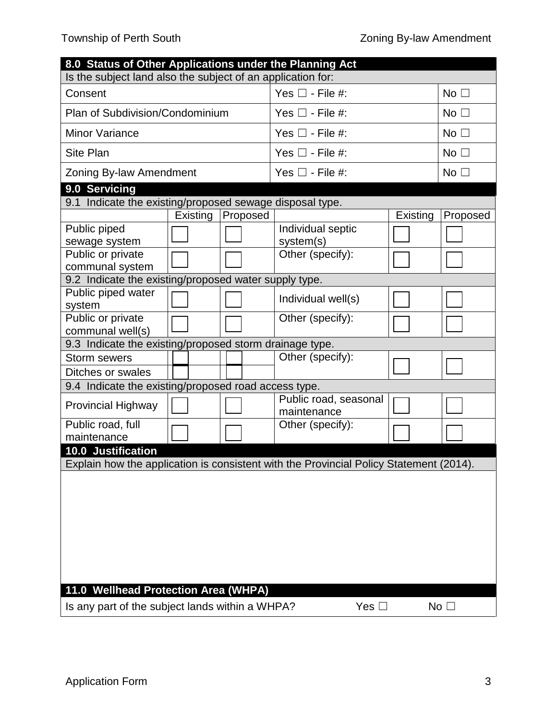| 8.0 Status of Other Applications under the Planning Act                                |          |                         |                                      |                 |                 |  |  |
|----------------------------------------------------------------------------------------|----------|-------------------------|--------------------------------------|-----------------|-----------------|--|--|
| Is the subject land also the subject of an application for:                            |          |                         |                                      |                 |                 |  |  |
| Consent                                                                                |          |                         | Yes $\square$ - File #:              | No <sub>1</sub> |                 |  |  |
| Plan of Subdivision/Condominium                                                        |          |                         | Yes $\Box$ - File #:                 | No <sub>1</sub> |                 |  |  |
| <b>Minor Variance</b>                                                                  |          | Yes $\Box$ - File #:    |                                      | No <sub>1</sub> |                 |  |  |
| <b>Site Plan</b>                                                                       |          | Yes $\square$ - File #: | No <sub>1</sub>                      |                 |                 |  |  |
| Zoning By-law Amendment                                                                |          |                         | Yes $\square$ - File #:              | No <sub>1</sub> |                 |  |  |
| 9.0 Servicing                                                                          |          |                         |                                      |                 |                 |  |  |
| 9.1 Indicate the existing/proposed sewage disposal type.                               |          |                         |                                      |                 |                 |  |  |
|                                                                                        | Existing | Proposed                |                                      | Existing        | Proposed        |  |  |
| Public piped<br>sewage system                                                          |          |                         | Individual septic<br>system(s)       |                 |                 |  |  |
| Public or private<br>communal system                                                   |          |                         | Other (specify):                     |                 |                 |  |  |
| 9.2 Indicate the existing/proposed water supply type.                                  |          |                         |                                      |                 |                 |  |  |
| Public piped water                                                                     |          |                         |                                      |                 |                 |  |  |
| system                                                                                 |          |                         | Individual well(s)                   |                 |                 |  |  |
| Public or private<br>communal well(s)                                                  |          |                         | Other (specify):                     |                 |                 |  |  |
| 9.3 Indicate the existing/proposed storm drainage type.                                |          |                         |                                      |                 |                 |  |  |
| <b>Storm sewers</b>                                                                    |          |                         | Other (specify):                     |                 |                 |  |  |
| Ditches or swales                                                                      |          |                         |                                      |                 |                 |  |  |
| 9.4 Indicate the existing/proposed road access type.                                   |          |                         |                                      |                 |                 |  |  |
| <b>Provincial Highway</b>                                                              |          |                         | Public road, seasonal<br>maintenance |                 |                 |  |  |
| Public road, full                                                                      |          |                         | Other (specify):                     |                 |                 |  |  |
| maintenance                                                                            |          |                         |                                      |                 |                 |  |  |
| 10.0 Justification                                                                     |          |                         |                                      |                 |                 |  |  |
| Explain how the application is consistent with the Provincial Policy Statement (2014). |          |                         |                                      |                 |                 |  |  |
|                                                                                        |          |                         |                                      |                 |                 |  |  |
|                                                                                        |          |                         |                                      |                 |                 |  |  |
|                                                                                        |          |                         |                                      |                 |                 |  |  |
|                                                                                        |          |                         |                                      |                 |                 |  |  |
|                                                                                        |          |                         |                                      |                 |                 |  |  |
|                                                                                        |          |                         |                                      |                 |                 |  |  |
|                                                                                        |          |                         |                                      |                 |                 |  |  |
|                                                                                        |          |                         |                                      |                 |                 |  |  |
| 11.0 Wellhead Protection Area (WHPA)                                                   |          |                         |                                      |                 |                 |  |  |
| Is any part of the subject lands within a WHPA?                                        |          |                         | Yes $\square$                        |                 | No <sub>1</sub> |  |  |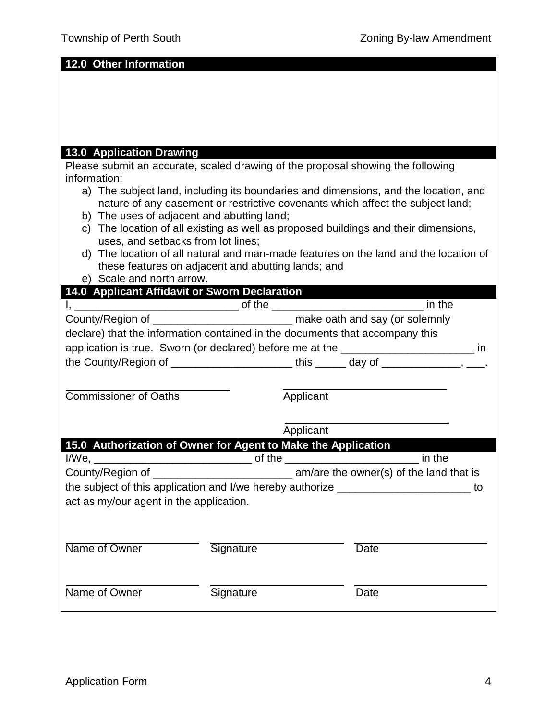**12.0 Other Information**

#### **13.0 Application Drawing**

Please submit an accurate, scaled drawing of the proposal showing the following information:

- a) The subject land, including its boundaries and dimensions, and the location, and nature of any easement or restrictive covenants which affect the subject land;
- b) The uses of adjacent and abutting land;
- c) The location of all existing as well as proposed buildings and their dimensions, uses, and setbacks from lot lines;
- d) The location of all natural and man-made features on the land and the location of these features on adjacent and abutting lands; and
- e) Scale and north arrow.

# **14.0 Applicant Affidavit or Sworn Declaration**

|                                                                                             |           |           | in the      |  |  |
|---------------------------------------------------------------------------------------------|-----------|-----------|-------------|--|--|
|                                                                                             |           |           |             |  |  |
| declare) that the information contained in the documents that accompany this                |           |           |             |  |  |
| application is true. Sworn (or declared) before me at the _______________________ in        |           |           |             |  |  |
| the County/Region of ____________________________this _______ day of _______________, ____. |           |           |             |  |  |
|                                                                                             |           |           |             |  |  |
| <b>Commissioner of Oaths</b>                                                                |           | Applicant |             |  |  |
|                                                                                             |           |           |             |  |  |
|                                                                                             |           | Applicant |             |  |  |
| 15.0 Authorization of Owner for Agent to Make the Application                               |           |           |             |  |  |
|                                                                                             |           |           |             |  |  |
|                                                                                             |           |           | in the      |  |  |
|                                                                                             |           |           |             |  |  |
| the subject of this application and I/we hereby authorize _______________________ to        |           |           |             |  |  |
| act as my/our agent in the application.                                                     |           |           |             |  |  |
|                                                                                             |           |           |             |  |  |
|                                                                                             |           |           |             |  |  |
| Name of Owner                                                                               | Signature |           | <b>Date</b> |  |  |
|                                                                                             |           |           |             |  |  |
| Name of Owner                                                                               | Signature |           | Date        |  |  |